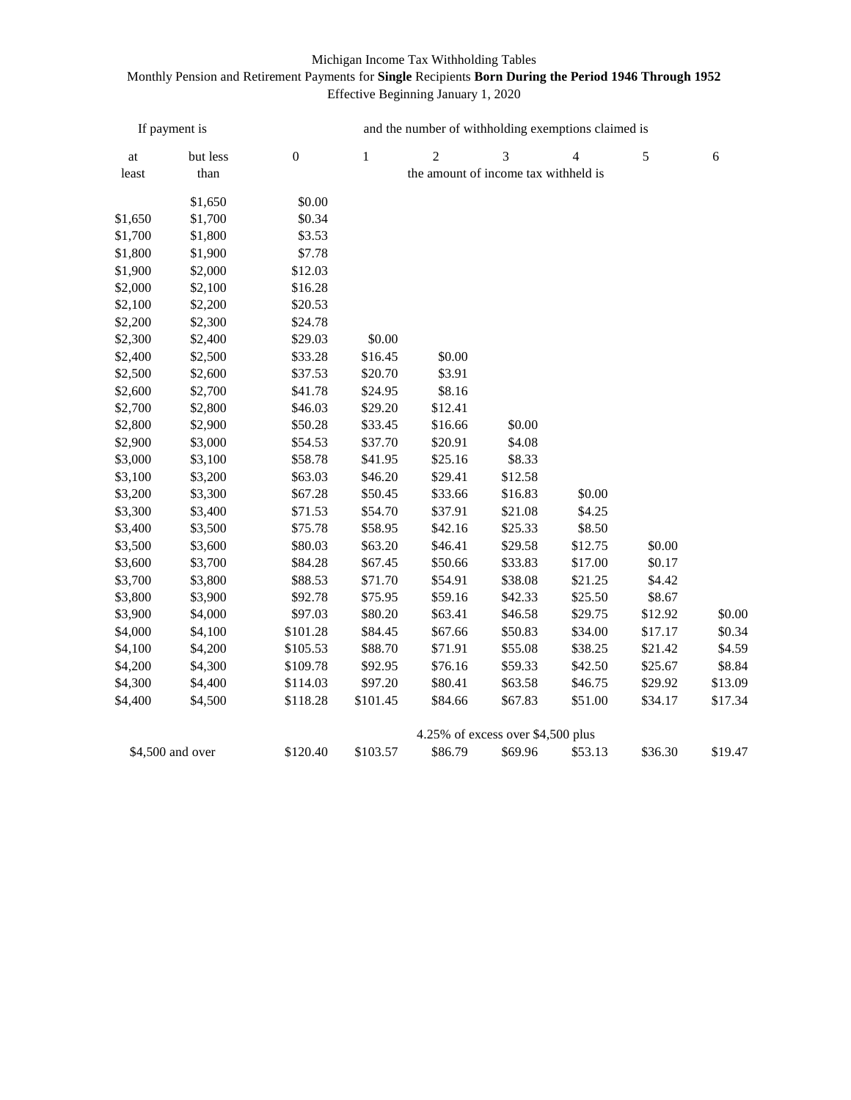## Michigan Income Tax Withholding Tables

## Monthly Pension and Retirement Payments for **Single** Recipients **Born During the Period 1946 Through 1952** Effective Beginning January 1, 2020

| If payment is    |          | and the number of withholding exemptions claimed is |              |                |                |                |         |         |  |  |
|------------------|----------|-----------------------------------------------------|--------------|----------------|----------------|----------------|---------|---------|--|--|
| at               | but less | $\boldsymbol{0}$                                    | $\mathbf{1}$ | $\overline{c}$ | $\overline{3}$ | $\overline{4}$ | 5       | 6       |  |  |
| least            | than     | the amount of income tax withheld is                |              |                |                |                |         |         |  |  |
|                  | \$1,650  | \$0.00                                              |              |                |                |                |         |         |  |  |
| \$1,650          | \$1,700  | \$0.34                                              |              |                |                |                |         |         |  |  |
| \$1,700          | \$1,800  | \$3.53                                              |              |                |                |                |         |         |  |  |
| \$1,800          | \$1,900  | \$7.78                                              |              |                |                |                |         |         |  |  |
| \$1,900          | \$2,000  | \$12.03                                             |              |                |                |                |         |         |  |  |
| \$2,000          | \$2,100  | \$16.28                                             |              |                |                |                |         |         |  |  |
| \$2,100          | \$2,200  | \$20.53                                             |              |                |                |                |         |         |  |  |
| \$2,200          | \$2,300  | \$24.78                                             |              |                |                |                |         |         |  |  |
| \$2,300          | \$2,400  | \$29.03                                             | \$0.00       |                |                |                |         |         |  |  |
| \$2,400          | \$2,500  | \$33.28                                             | \$16.45      | \$0.00         |                |                |         |         |  |  |
| \$2,500          | \$2,600  | \$37.53                                             | \$20.70      | \$3.91         |                |                |         |         |  |  |
| \$2,600          | \$2,700  | \$41.78                                             | \$24.95      | \$8.16         |                |                |         |         |  |  |
| \$2,700          | \$2,800  | \$46.03                                             | \$29.20      | \$12.41        |                |                |         |         |  |  |
| \$2,800          | \$2,900  | \$50.28                                             | \$33.45      | \$16.66        | \$0.00         |                |         |         |  |  |
| \$2,900          | \$3,000  | \$54.53                                             | \$37.70      | \$20.91        | \$4.08         |                |         |         |  |  |
| \$3,000          | \$3,100  | \$58.78                                             | \$41.95      | \$25.16        | \$8.33         |                |         |         |  |  |
| \$3,100          | \$3,200  | \$63.03                                             | \$46.20      | \$29.41        | \$12.58        |                |         |         |  |  |
| \$3,200          | \$3,300  | \$67.28                                             | \$50.45      | \$33.66        | \$16.83        | \$0.00         |         |         |  |  |
| \$3,300          | \$3,400  | \$71.53                                             | \$54.70      | \$37.91        | \$21.08        | \$4.25         |         |         |  |  |
| \$3,400          | \$3,500  | \$75.78                                             | \$58.95      | \$42.16        | \$25.33        | \$8.50         |         |         |  |  |
| \$3,500          | \$3,600  | \$80.03                                             | \$63.20      | \$46.41        | \$29.58        | \$12.75        | \$0.00  |         |  |  |
| \$3,600          | \$3,700  | \$84.28                                             | \$67.45      | \$50.66        | \$33.83        | \$17.00        | \$0.17  |         |  |  |
| \$3,700          | \$3,800  | \$88.53                                             | \$71.70      | \$54.91        | \$38.08        | \$21.25        | \$4.42  |         |  |  |
| \$3,800          | \$3,900  | \$92.78                                             | \$75.95      | \$59.16        | \$42.33        | \$25.50        | \$8.67  |         |  |  |
| \$3,900          | \$4,000  | \$97.03                                             | \$80.20      | \$63.41        | \$46.58        | \$29.75        | \$12.92 | \$0.00  |  |  |
| \$4,000          | \$4,100  | \$101.28                                            | \$84.45      | \$67.66        | \$50.83        | \$34.00        | \$17.17 | \$0.34  |  |  |
| \$4,100          | \$4,200  | \$105.53                                            | \$88.70      | \$71.91        | \$55.08        | \$38.25        | \$21.42 | \$4.59  |  |  |
| \$4,200          | \$4,300  | \$109.78                                            | \$92.95      | \$76.16        | \$59.33        | \$42.50        | \$25.67 | \$8.84  |  |  |
| \$4,300          | \$4,400  | \$114.03                                            | \$97.20      | \$80.41        | \$63.58        | \$46.75        | \$29.92 | \$13.09 |  |  |
| \$4,400          | \$4,500  | \$118.28                                            | \$101.45     | \$84.66        | \$67.83        | \$51.00        | \$34.17 | \$17.34 |  |  |
|                  |          | 4.25% of excess over \$4,500 plus                   |              |                |                |                |         |         |  |  |
| \$4,500 and over |          | \$120.40                                            | \$103.57     | \$86.79        | \$69.96        | \$53.13        | \$36.30 | \$19.47 |  |  |